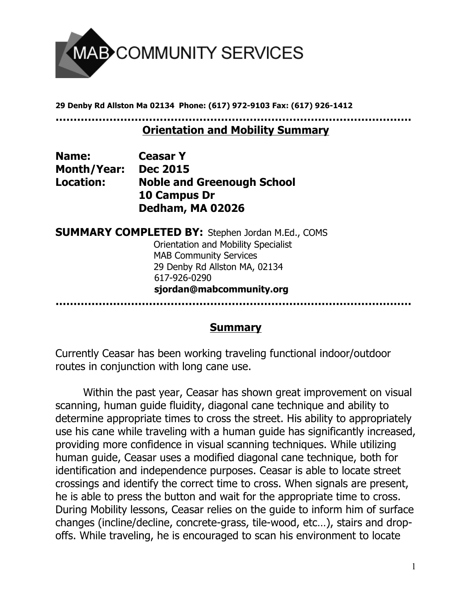

**29 Denby Rd Allston Ma 02134 Phone: (617) 972-9103 Fax: (617) 926-1412**

**………………………………………………………………………………………**

## **Orientation and Mobility Summary**

| <b>Name:</b>       | <b>Ceasar Y</b>                   |
|--------------------|-----------------------------------|
| <b>Month/Year:</b> | <b>Dec 2015</b>                   |
| Location:          | <b>Noble and Greenough School</b> |
|                    | 10 Campus Dr                      |
|                    | Dedham, MA 02026                  |

**SUMMARY COMPLETED BY:** Stephen Jordan M.Ed., COMS Orientation and Mobility Specialist MAB Community Services 29 Denby Rd Allston MA, 02134 617-926-0290  **sjordan@mabcommunity.org**

**………………………………………………………………………………………**

## **Summary**

Currently Ceasar has been working traveling functional indoor/outdoor routes in conjunction with long cane use.

Within the past year, Ceasar has shown great improvement on visual scanning, human guide fluidity, diagonal cane technique and ability to determine appropriate times to cross the street. His ability to appropriately use his cane while traveling with a human guide has significantly increased, providing more confidence in visual scanning techniques. While utilizing human guide, Ceasar uses a modified diagonal cane technique, both for identification and independence purposes. Ceasar is able to locate street crossings and identify the correct time to cross. When signals are present, he is able to press the button and wait for the appropriate time to cross. During Mobility lessons, Ceasar relies on the guide to inform him of surface changes (incline/decline, concrete-grass, tile-wood, etc…), stairs and dropoffs. While traveling, he is encouraged to scan his environment to locate